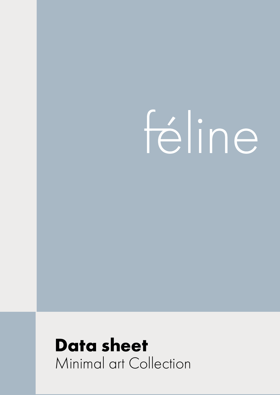# féline

# **Data sheet** Minimal art Collection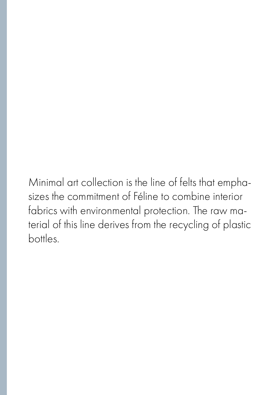Minimal art collection is the line of felts that emphasizes the commitment of Féline to combine interior fabrics with environmental protection. The raw material of this line derives from the recycling of plastic bottles.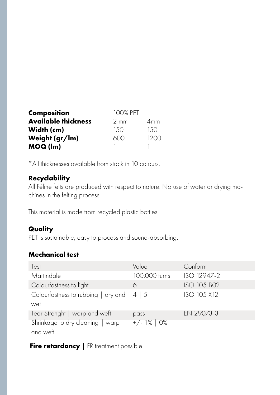| <b>Composition</b>         | 100% PET       |      |  |
|----------------------------|----------------|------|--|
| <b>Available thickness</b> | $2 \text{ mm}$ | 4mm  |  |
| Width (cm)                 | 150            | 150  |  |
| Weight (gr/lm)             | 600            | 1200 |  |
| MOQ (lm)                   |                |      |  |

\*All thicknesses available from stock in 10 colours.

### **Recyclability**

All Féline felts are produced with respect to nature. No use of water or drying machines in the felting process.

This material is made from recycled plastic bottles.

# **Quality**

PET is sustainable, easy to process and sound-absorbing.

# **Mechanical test**

| Test                                                  | Value         | Conform            |
|-------------------------------------------------------|---------------|--------------------|
| Martindale                                            | 100.000 turns | ISO 12947-2        |
| Colourfastness to light                               | 6             | <b>ISO 105 BO2</b> |
| Colourfastness to rubbing $\vert$ dry and 4 $\vert$ 5 |               | ISO 105 X12        |
| wet                                                   |               |                    |
| Tear Strenght   warp and weft                         | pass          | EN 29073-3         |
| Shrinkage to dry cleaning   warp<br>and weft          | $+/- 1\%$ 0%  |                    |

#### **Fire retardancy** | FR treatment possible